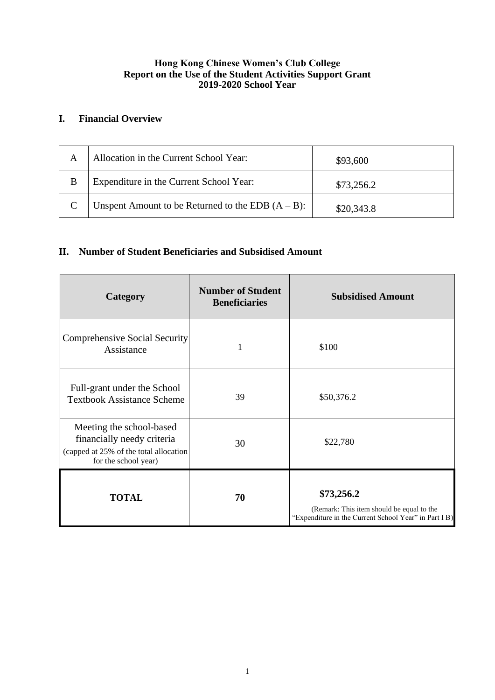## **Hong Kong Chinese Women's Club College Report on the Use of the Student Activities Support Grant 2019-2020 School Year**

## **I. Financial Overview**

| A | Allocation in the Current School Year:               | \$93,600   |
|---|------------------------------------------------------|------------|
| B | Expenditure in the Current School Year:              | \$73,256.2 |
|   | Unspent Amount to be Returned to the EDB $(A - B)$ : | \$20,343.8 |

## **II. Number of Student Beneficiaries and Subsidised Amount**

| Category                                                                                                                 | <b>Number of Student</b><br><b>Beneficiaries</b> | <b>Subsidised Amount</b>                                                                                         |
|--------------------------------------------------------------------------------------------------------------------------|--------------------------------------------------|------------------------------------------------------------------------------------------------------------------|
| Comprehensive Social Security<br>Assistance                                                                              | 1                                                | \$100                                                                                                            |
| Full-grant under the School<br><b>Textbook Assistance Scheme</b>                                                         | 39                                               | \$50,376.2                                                                                                       |
| Meeting the school-based<br>financially needy criteria<br>(capped at 25% of the total allocation<br>for the school year) | 30                                               | \$22,780                                                                                                         |
| <b>TOTAL</b>                                                                                                             | 70                                               | \$73,256.2<br>(Remark: This item should be equal to the<br>"Expenditure in the Current School Year" in Part I B) |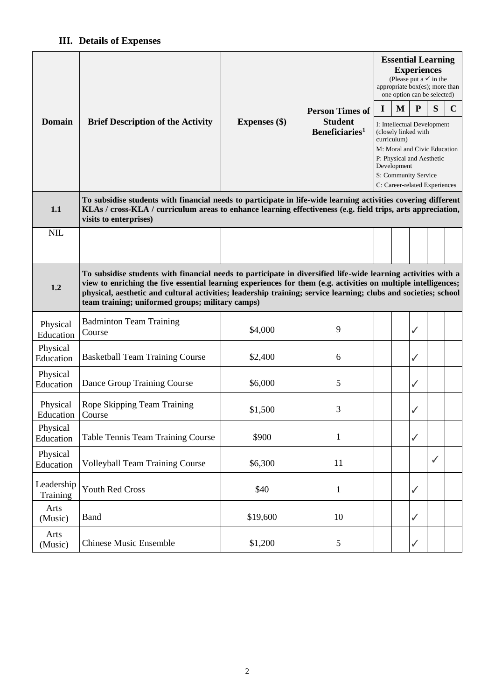## **III. Details of Expenses**

|                        | <b>Brief Description of the Activity</b>                                                                                                                                                                                                                                                                                                                                                               | <b>Expenses</b> (\$) | <b>Person Times of</b><br><b>Student</b><br>Beneficiaries <sup>1</sup> | <b>Essential Learning</b><br><b>Experiences</b><br>(Please put a $\checkmark$ in the<br>appropriate box(es); more than<br>one option can be selected)                                                   |   |              |              |             |  |  |
|------------------------|--------------------------------------------------------------------------------------------------------------------------------------------------------------------------------------------------------------------------------------------------------------------------------------------------------------------------------------------------------------------------------------------------------|----------------------|------------------------------------------------------------------------|---------------------------------------------------------------------------------------------------------------------------------------------------------------------------------------------------------|---|--------------|--------------|-------------|--|--|
|                        |                                                                                                                                                                                                                                                                                                                                                                                                        |                      |                                                                        | I                                                                                                                                                                                                       | M | P            | S            | $\mathbf C$ |  |  |
| <b>Domain</b>          |                                                                                                                                                                                                                                                                                                                                                                                                        |                      |                                                                        | I: Intellectual Development<br>(closely linked with<br>curriculum)<br>M: Moral and Civic Education<br>P: Physical and Aesthetic<br>Development<br>S: Community Service<br>C: Career-related Experiences |   |              |              |             |  |  |
| 1.1                    | To subsidise students with financial needs to participate in life-wide learning activities covering different<br>KLAs / cross-KLA / curriculum areas to enhance learning effectiveness (e.g. field trips, arts appreciation,<br>visits to enterprises)                                                                                                                                                 |                      |                                                                        |                                                                                                                                                                                                         |   |              |              |             |  |  |
| <b>NIL</b>             |                                                                                                                                                                                                                                                                                                                                                                                                        |                      |                                                                        |                                                                                                                                                                                                         |   |              |              |             |  |  |
| 1.2                    | To subsidise students with financial needs to participate in diversified life-wide learning activities with a<br>view to enriching the five essential learning experiences for them (e.g. activities on multiple intelligences;<br>physical, aesthetic and cultural activities; leadership training; service learning; clubs and societies; school<br>team training; uniformed groups; military camps) |                      |                                                                        |                                                                                                                                                                                                         |   |              |              |             |  |  |
| Physical<br>Education  | <b>Badminton Team Training</b><br>Course                                                                                                                                                                                                                                                                                                                                                               | \$4,000              | 9                                                                      |                                                                                                                                                                                                         |   | ✓            |              |             |  |  |
| Physical<br>Education  | <b>Basketball Team Training Course</b>                                                                                                                                                                                                                                                                                                                                                                 | \$2,400              | 6                                                                      |                                                                                                                                                                                                         |   | $\checkmark$ |              |             |  |  |
| Physical<br>Education  | Dance Group Training Course                                                                                                                                                                                                                                                                                                                                                                            | \$6,000              | 5                                                                      |                                                                                                                                                                                                         |   | ✓            |              |             |  |  |
| Physical<br>Education  | Rope Skipping Team Training<br>Course                                                                                                                                                                                                                                                                                                                                                                  | \$1,500              | 3                                                                      |                                                                                                                                                                                                         |   | ✓            |              |             |  |  |
| Physical<br>Education  | Table Tennis Team Training Course                                                                                                                                                                                                                                                                                                                                                                      | \$900                | $\mathbf{1}$                                                           |                                                                                                                                                                                                         |   | $\checkmark$ |              |             |  |  |
| Physical<br>Education  | <b>Volleyball Team Training Course</b>                                                                                                                                                                                                                                                                                                                                                                 | \$6,300              | 11                                                                     |                                                                                                                                                                                                         |   |              | $\checkmark$ |             |  |  |
| Leadership<br>Training | Youth Red Cross                                                                                                                                                                                                                                                                                                                                                                                        | \$40                 | $\mathbf{1}$                                                           |                                                                                                                                                                                                         |   | $\checkmark$ |              |             |  |  |
| Arts<br>(Music)        | <b>Band</b>                                                                                                                                                                                                                                                                                                                                                                                            | \$19,600             | 10                                                                     |                                                                                                                                                                                                         |   | $\checkmark$ |              |             |  |  |
| Arts<br>(Music)        | <b>Chinese Music Ensemble</b>                                                                                                                                                                                                                                                                                                                                                                          | \$1,200              | 5                                                                      |                                                                                                                                                                                                         |   | ✓            |              |             |  |  |